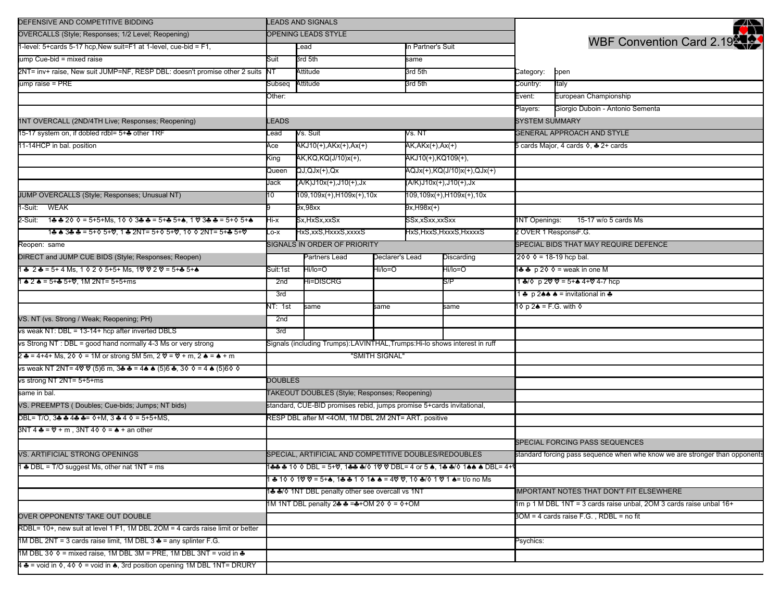| DEFENSIVE AND COMPETITIVE BIDDING                                                                                                    | <b>LEADS AND SIGNALS</b>                                                 |                                                                         |                               |                             |                          |                                                                     | <u> 2000 - 2000 - 2000 - 2000 - 2000 - 2000 - 2000 - 2000 - 2000 - 2000 - 2000 - 2000 - 2000 - 2000 - 2000 - 200</u> |  |
|--------------------------------------------------------------------------------------------------------------------------------------|--------------------------------------------------------------------------|-------------------------------------------------------------------------|-------------------------------|-----------------------------|--------------------------|---------------------------------------------------------------------|----------------------------------------------------------------------------------------------------------------------|--|
| OVERCALLS (Style; Responses; 1/2 Level; Reopening)                                                                                   | <b>OPENING LEADS STYLE</b>                                               |                                                                         |                               |                             |                          |                                                                     | a a s                                                                                                                |  |
| 1-level: 5+cards 5-17 hcp, New suit=F1 at 1-level, cue-bid = F1,                                                                     |                                                                          | Lead                                                                    |                               |                             | In Partner's Suit        |                                                                     | WBF Convention Card 2.19                                                                                             |  |
| ump Cue-bid = mixed raise                                                                                                            | Suit                                                                     | 3rd 5th                                                                 |                               | same                        |                          |                                                                     |                                                                                                                      |  |
| 2NT= inv+ raise, New suit JUMP=NF, RESP DBL: doesn't promise other 2 suits NT                                                        |                                                                          | Attitude                                                                |                               | 3rd 5th                     |                          | Category:                                                           | open                                                                                                                 |  |
| ump raise = PRE                                                                                                                      | Subseq                                                                   | Attitude                                                                |                               | 3rd 5th                     |                          | Country:                                                            | Italy                                                                                                                |  |
|                                                                                                                                      | Other:                                                                   |                                                                         |                               |                             | Event:                   | European Championship                                               |                                                                                                                      |  |
|                                                                                                                                      |                                                                          |                                                                         |                               |                             |                          | Players:                                                            | Giorgio Duboin - Antonio Sementa                                                                                     |  |
| 1NT OVERCALL (2ND/4TH Live; Responses; Reopening)                                                                                    | LEADS                                                                    |                                                                         |                               |                             |                          | <b>SYSTEM SUMMARY</b>                                               |                                                                                                                      |  |
| 15-17 system on, if dobled rdbl= 5+* other TRF                                                                                       | Lead                                                                     | Vs. Suit                                                                |                               |                             | Vs. NT                   |                                                                     | <b>GENERAL APPROACH AND STYLE</b>                                                                                    |  |
| 11-14HCP in bal. position                                                                                                            | Ace                                                                      | AKJ10(+),AKx(+),Ax(+)<br>AK,AKx(+),Ax(+)                                |                               |                             |                          | 5 cards Major, 4 cards ♦, ♣ 2+ cards                                |                                                                                                                      |  |
|                                                                                                                                      | King                                                                     | AK, KQ, KQ(J/10) x(+),                                                  |                               | AKJ10(+),KQ109(+),          |                          |                                                                     |                                                                                                                      |  |
|                                                                                                                                      | Queen                                                                    | $QJ, QJx(+), Qx$                                                        |                               | AQJx(+),KQ(J/10)x(+),QJx(+) |                          |                                                                     |                                                                                                                      |  |
|                                                                                                                                      | Jack                                                                     | (A/K)J10x(+),J10(+),Jx                                                  |                               | (A/K)J10x(+),J10(+),Jx      |                          |                                                                     |                                                                                                                      |  |
| JUMP OVERCALLS (Style; Responses; Unusual NT)                                                                                        | 10                                                                       | 109,109x(+),H109x(+),10x                                                |                               | 109,109x(+),H109x(+),10x    |                          |                                                                     |                                                                                                                      |  |
| -Suit: WEAK                                                                                                                          |                                                                          | 9x,98xx                                                                 |                               | 9x,H98x(+)                  |                          |                                                                     |                                                                                                                      |  |
| 2-Suit: 1♣♣2◊◊= 5+5+Ms, 1◊◊ᢃ♣♣= 5+♣ 5+♠, 1 ♡ 3♣♣= 5+◊ 5+♠                                                                            | Hi-x                                                                     | Sx.HxSx.xxSx                                                            |                               |                             | SSx.xSxx.xxSxx           |                                                                     | 1NT Openings:<br>15-17 w/o 5 cards Ms                                                                                |  |
| 1 & & 3 & & = 5+ $\lozenge$ 5+ $\lozenge$ , 1 & 2NT = 5+ $\lozenge$ 5+ $\lozenge$ , 1 $\lozenge$ $\lozenge$ 2NT = 5+ & 5+ $\lozenge$ | _o-x                                                                     | HxS,xxS, HxxxS, xxxxS                                                   |                               | HxS,HxxS,HxxxS,HxxxxS       |                          |                                                                     | 2 OVER 1 Respons(F.G.                                                                                                |  |
| Reopen: same                                                                                                                         |                                                                          | SIGNALS IN ORDER OF PRIORITY                                            |                               |                             |                          |                                                                     | SPECIAL BIDS THAT MAY REQUIRE DEFENCE                                                                                |  |
| DIRECT and JUMP CUE BIDS (Style; Responses; Reopen)                                                                                  |                                                                          | Partners Lead                                                           | Declarer's Lead<br>Discarding |                             | $200 = 18 - 19$ hcp bal. |                                                                     |                                                                                                                      |  |
| 1 ♣ 2 ♣ = 5+ 4 Ms. 1 ◊ 2 ◊ 5+5+ Ms. 1♡ ♡ 2 ♡ = 5+♣ 5+♠                                                                               | Suit:1st                                                                 | Hi/lo=O                                                                 | Hi/lo=O                       |                             | Hi/lo=O                  | 1♣♣ p 2◊ ◊ = weak in one M                                          |                                                                                                                      |  |
| $\triangle$ 2 $\triangle$ = 5+ $\triangle$ 5+ $\%$ . 1M 2NT= 5+5+ms                                                                  | 2nd                                                                      | Hi=DISCRG                                                               |                               | S/P                         |                          | 1 ♣/♦ p 2♡ ♡ = 5+♠ 4+♡ 4-7 hcp                                      |                                                                                                                      |  |
|                                                                                                                                      | 3rd                                                                      |                                                                         |                               | same                        |                          | 1 ♣ p 2♠♠ ♠ = invitational in ♣                                     |                                                                                                                      |  |
|                                                                                                                                      | NT: 1st                                                                  | same                                                                    | same                          |                             |                          | 1 ♦ p 2 ♦ = F.G. with ♦                                             |                                                                                                                      |  |
| VS. NT (vs. Strong / Weak; Reopening; PH)                                                                                            | 2nd                                                                      |                                                                         |                               |                             |                          |                                                                     |                                                                                                                      |  |
| vs weak NT: DBL = 13-14+ hcp after inverted DBLS                                                                                     | 3rd                                                                      |                                                                         |                               |                             |                          |                                                                     |                                                                                                                      |  |
| vs Strong NT : DBL = good hand normally 4-3 Ms or very strong                                                                        | Signals (including Trumps):LAVINTHAL,Trumps:Hi-lo shows interest in ruff |                                                                         |                               |                             |                          |                                                                     |                                                                                                                      |  |
| 2 ♣ = 4+4+ Ms, 2◊ ◊ = 1M or strong 5M 5m, 2 ♡ = ♡ + m, 2 ♠ = ♠ + m                                                                   |                                                                          |                                                                         | "SMITH SIGNAL"                |                             |                          |                                                                     |                                                                                                                      |  |
| vs weak NT 2NT= 4♡ ♡ (5)6 m, 3♣ ♣ = 4♠ ♠ (5)6 ♣, 3◊ ◊ = 4 ♠ (5)6◊ ◊                                                                  |                                                                          |                                                                         |                               |                             |                          |                                                                     |                                                                                                                      |  |
| vs strong NT 2NT= 5+5+ms                                                                                                             | <b>DOUBLES</b>                                                           |                                                                         |                               |                             |                          |                                                                     |                                                                                                                      |  |
| same in bal.                                                                                                                         | TAKEOUT DOUBLES (Style; Responses; Reopening)                            |                                                                         |                               |                             |                          |                                                                     |                                                                                                                      |  |
| VS. PREEMPTS (Doubles; Cue-bids; Jumps; NT bids)                                                                                     | standard, CUE-BID promises rebid, jumps promise 5+cards invitational,    |                                                                         |                               |                             |                          |                                                                     |                                                                                                                      |  |
| DBL= T/O, 3♣ ♣ 4♣ ♣= ◊+M, 3 ♣ 4 ◊ = 5+5+MS,                                                                                          | RESP DBL after M <4OM, 1M DBL 2M 2NT= ART. positive                      |                                                                         |                               |                             |                          |                                                                     |                                                                                                                      |  |
| $3NT 4 = 2 + m$ , $3NT 40 2 = 4 + an other$                                                                                          |                                                                          |                                                                         |                               |                             |                          |                                                                     |                                                                                                                      |  |
|                                                                                                                                      |                                                                          |                                                                         |                               |                             |                          | SPECIAL FORCING PASS SEQUENCES                                      |                                                                                                                      |  |
| VS. ARTIFICIAL STRONG OPENINGS                                                                                                       | SPECIAL, ARTIFICIAL AND COMPETITIVE DOUBLES/REDOUBLES                    |                                                                         |                               |                             |                          |                                                                     | standard forcing pass sequence when whe know we are stronger than opponents                                          |  |
| 1 $\triangle$ DBL = T/O suggest Ms, other nat 1NT = ms                                                                               |                                                                          | 1♣♣ ♣ 1♦ ♦ DBL = 5+♡, 1♣♣ ♣/♦ 1♡ ♡ DBL= 4 or 5 ♠, 1♣ ♣/♦ 1♠♠ ♠ DBL= 4+٩ |                               |                             |                          |                                                                     |                                                                                                                      |  |
|                                                                                                                                      | ♣ 10 0 10 0 = 5+♠, 1♣ ♣ 1 0 1♠ ♠ = 40 0, 10 ♣/0 1 0 1 ♠= t/o no Ms       |                                                                         |                               |                             |                          |                                                                     |                                                                                                                      |  |
|                                                                                                                                      | 1♣ ♣/♦ 1NT DBL penalty other see overcall vs 1NT                         |                                                                         |                               |                             |                          | IMPORTANT NOTES THAT DON'T FIT ELSEWHERE                            |                                                                                                                      |  |
|                                                                                                                                      | 1M 1NT DBL penalty 2♣ ♣ =♣+OM 2♦ ♦ = ♦ +OM                               |                                                                         |                               |                             |                          | 1m p 1 M DBL 1NT = 3 cards raise unbal, 2OM 3 cards raise unbal 16+ |                                                                                                                      |  |
| OVER OPPONENTS' TAKE OUT DOUBLE                                                                                                      |                                                                          |                                                                         |                               |                             |                          |                                                                     | 3OM = 4 cards raise F.G., RDBL = no fit                                                                              |  |
| RDBL= 10+, new suit at level 1 F1, 1M DBL 2OM = 4 cards raise limit or better                                                        |                                                                          |                                                                         |                               |                             |                          |                                                                     |                                                                                                                      |  |
| 1M DBL 2NT = 3 cards raise limit, 1M DBL 3 ♣ = any splinter F.G.                                                                     |                                                                          |                                                                         |                               |                             |                          | Psychics:                                                           |                                                                                                                      |  |
| 1M DBL 3 $\diamond$ $\diamond$ = mixed raise, 1M DBL 3M = PRE, 1M DBL 3NT = void in $\clubsuit$                                      |                                                                          |                                                                         |                               |                             |                          |                                                                     |                                                                                                                      |  |
| 4 ♣ = void in 0, 40 0 = void in ♠, 3rd position opening 1M DBL 1NT= DRURY                                                            |                                                                          |                                                                         |                               |                             |                          |                                                                     |                                                                                                                      |  |